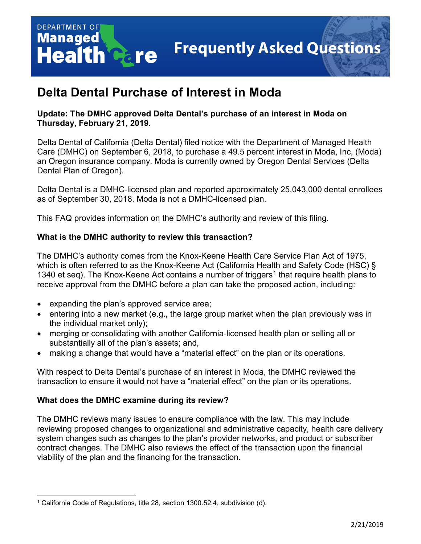

# **Delta Dental Purchase of Interest in Moda**

## **Update: The DMHC approved Delta Dental's purchase of an interest in Moda on Thursday, February 21, 2019.**

Delta Dental of California (Delta Dental) filed notice with the Department of Managed Health Care (DMHC) on September 6, 2018, to purchase a 49.5 percent interest in Moda, Inc, (Moda) an Oregon insurance company. Moda is currently owned by Oregon Dental Services (Delta Dental Plan of Oregon).

Delta Dental is a DMHC-licensed plan and reported approximately 25,043,000 dental enrollees as of September 30, 2018. Moda is not a DMHC-licensed plan.

This FAQ provides information on the DMHC's authority and review of this filing.

## **What is the DMHC authority to review this transaction?**

The DMHC's authority comes from the Knox-Keene Health Care Service Plan Act of 1975, which is often referred to as the Knox-Keene Act (California Health and Safety Code (HSC) § [1](#page-0-0)340 et seq). The Knox-Keene Act contains a number of triggers<sup>1</sup> that require health plans to receive approval from the DMHC before a plan can take the proposed action, including:

- expanding the plan's approved service area;
- entering into a new market (e.g., the large group market when the plan previously was in the individual market only);
- merging or consolidating with another California-licensed health plan or selling all or substantially all of the plan's assets; and,
- making a change that would have a "material effect" on the plan or its operations.

With respect to Delta Dental's purchase of an interest in Moda, the DMHC reviewed the transaction to ensure it would not have a "material effect" on the plan or its operations.

## **What does the DMHC examine during its review?**

The DMHC reviews many issues to ensure compliance with the law. This may include reviewing proposed changes to organizational and administrative capacity, health care delivery system changes such as changes to the plan's provider networks, and product or subscriber contract changes. The DMHC also reviews the effect of the transaction upon the financial viability of the plan and the financing for the transaction.

<span id="page-0-0"></span>l <sup>1</sup> California Code of Regulations, title 28, section 1300.52.4, subdivision (d).